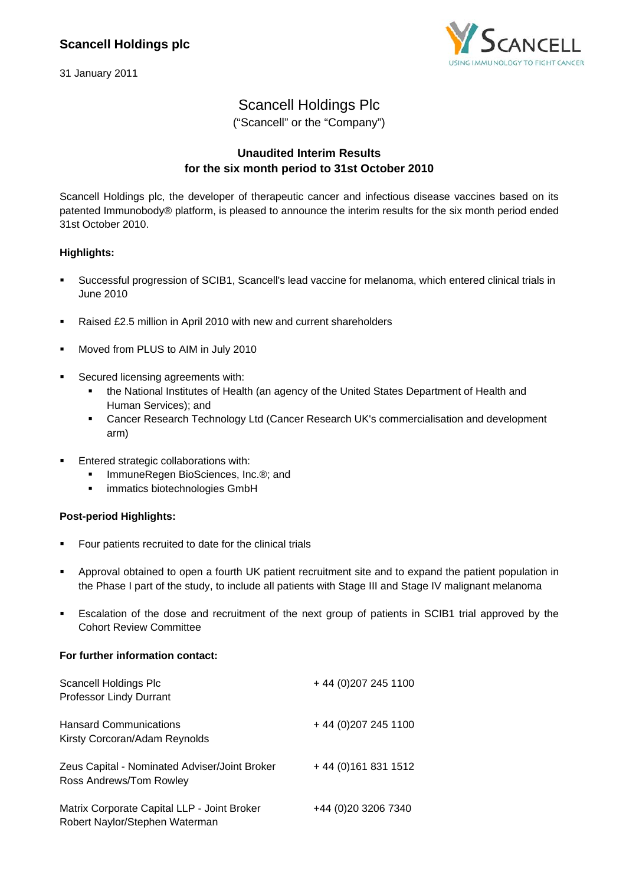31 January 2011



## Scancell Holdings Plc

("Scancell" or the "Company")

### **Unaudited Interim Results for the six month period to 31st October 2010**

Scancell Holdings plc, the developer of therapeutic cancer and infectious disease vaccines based on its patented Immunobody® platform, is pleased to announce the interim results for the six month period ended 31st October 2010.

### **Highlights:**

- Successful progression of SCIB1, Scancell's lead vaccine for melanoma, which entered clinical trials in June 2010
- Raised £2.5 million in April 2010 with new and current shareholders
- **Moved from PLUS to AIM in July 2010**
- Secured licensing agreements with:
	- the National Institutes of Health (an agency of the United States Department of Health and Human Services); and
	- Cancer Research Technology Ltd (Cancer Research UK's commercialisation and development arm)
- Entered strategic collaborations with:
	- ImmuneRegen BioSciences, Inc.®; and
	- **·** immatics biotechnologies GmbH

### **Post-period Highlights:**

- **Four patients recruited to date for the clinical trials**
- Approval obtained to open a fourth UK patient recruitment site and to expand the patient population in the Phase I part of the study, to include all patients with Stage III and Stage IV malignant melanoma
- Escalation of the dose and recruitment of the next group of patients in SCIB1 trial approved by the Cohort Review Committee

### **For further information contact:**

| Scancell Holdings Plc<br>Professor Lindy Durrant                              | + 44 (0) 207 245 1100 |
|-------------------------------------------------------------------------------|-----------------------|
| <b>Hansard Communications</b><br>Kirsty Corcoran/Adam Reynolds                | + 44 (0) 207 245 1100 |
| Zeus Capital - Nominated Adviser/Joint Broker<br>Ross Andrews/Tom Rowley      | + 44 (0) 161 831 1512 |
| Matrix Corporate Capital LLP - Joint Broker<br>Robert Naylor/Stephen Waterman | +44 (0) 20 3206 7340  |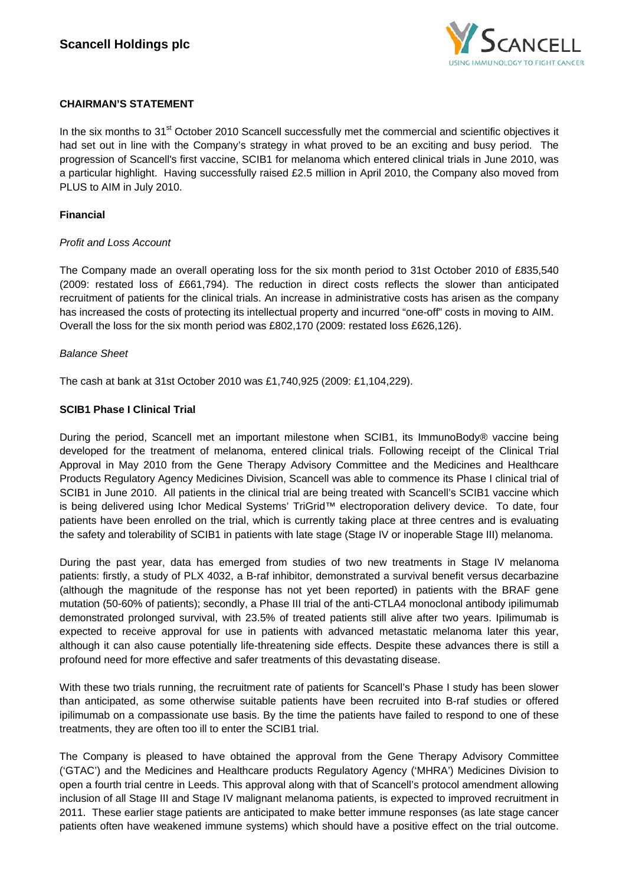

### **CHAIRMAN'S STATEMENT**

In the six months to 31<sup>st</sup> October 2010 Scancell successfully met the commercial and scientific objectives it had set out in line with the Company's strategy in what proved to be an exciting and busy period. The progression of Scancell's first vaccine, SCIB1 for melanoma which entered clinical trials in June 2010, was a particular highlight. Having successfully raised £2.5 million in April 2010, the Company also moved from PLUS to AIM in July 2010.

### **Financial**

### *Profit and Loss Account*

The Company made an overall operating loss for the six month period to 31st October 2010 of £835,540 (2009: restated loss of £661,794). The reduction in direct costs reflects the slower than anticipated recruitment of patients for the clinical trials. An increase in administrative costs has arisen as the company has increased the costs of protecting its intellectual property and incurred "one-off" costs in moving to AIM. Overall the loss for the six month period was £802,170 (2009: restated loss £626,126).

### *Balance Sheet*

The cash at bank at 31st October 2010 was £1,740,925 (2009: £1,104,229).

### **SCIB1 Phase I Clinical Trial**

During the period, Scancell met an important milestone when SCIB1, its ImmunoBody® vaccine being developed for the treatment of melanoma, entered clinical trials. Following receipt of the Clinical Trial Approval in May 2010 from the Gene Therapy Advisory Committee and the Medicines and Healthcare Products Regulatory Agency Medicines Division, Scancell was able to commence its Phase I clinical trial of SCIB1 in June 2010. All patients in the clinical trial are being treated with Scancell's SCIB1 vaccine which is being delivered using Ichor Medical Systems' TriGrid™ electroporation delivery device. To date, four patients have been enrolled on the trial, which is currently taking place at three centres and is evaluating the safety and tolerability of SCIB1 in patients with late stage (Stage IV or inoperable Stage III) melanoma.

During the past year, data has emerged from studies of two new treatments in Stage IV melanoma patients: firstly, a study of PLX 4032, a B-raf inhibitor, demonstrated a survival benefit versus decarbazine (although the magnitude of the response has not yet been reported) in patients with the BRAF gene mutation (50-60% of patients); secondly, a Phase III trial of the anti-CTLA4 monoclonal antibody ipilimumab demonstrated prolonged survival, with 23.5% of treated patients still alive after two years. Ipilimumab is expected to receive approval for use in patients with advanced metastatic melanoma later this year, although it can also cause potentially life-threatening side effects. Despite these advances there is still a profound need for more effective and safer treatments of this devastating disease.

With these two trials running, the recruitment rate of patients for Scancell's Phase I study has been slower than anticipated, as some otherwise suitable patients have been recruited into B-raf studies or offered ipilimumab on a compassionate use basis. By the time the patients have failed to respond to one of these treatments, they are often too ill to enter the SCIB1 trial.

The Company is pleased to have obtained the approval from the Gene Therapy Advisory Committee ('GTAC') and the Medicines and Healthcare products Regulatory Agency ('MHRA') Medicines Division to open a fourth trial centre in Leeds. This approval along with that of Scancell's protocol amendment allowing inclusion of all Stage III and Stage IV malignant melanoma patients, is expected to improved recruitment in 2011. These earlier stage patients are anticipated to make better immune responses (as late stage cancer patients often have weakened immune systems) which should have a positive effect on the trial outcome.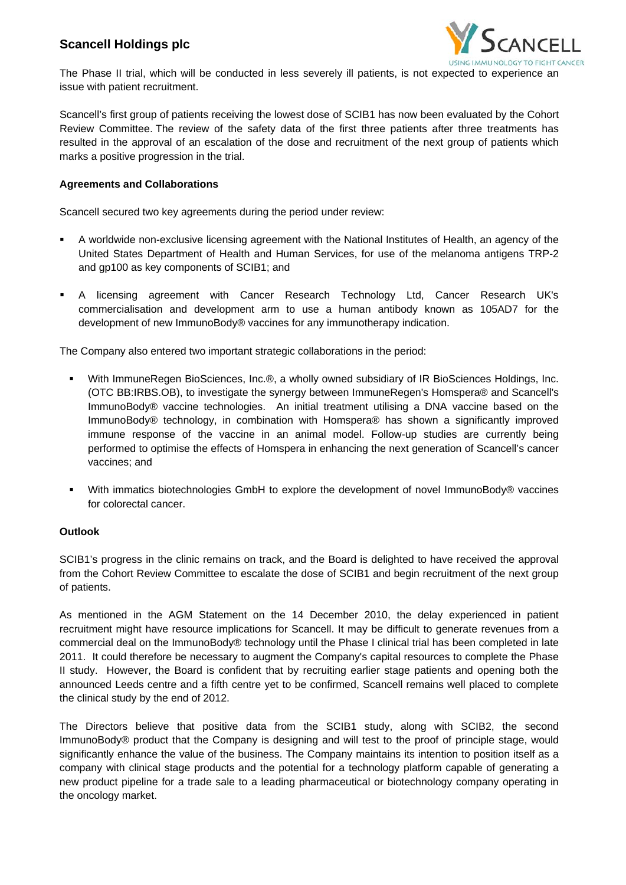## **Scancell Holdings plc**



The Phase II trial, which will be conducted in less severely ill patients, is not expected to experience an issue with patient recruitment.

Scancell's first group of patients receiving the lowest dose of SCIB1 has now been evaluated by the Cohort Review Committee. The review of the safety data of the first three patients after three treatments has resulted in the approval of an escalation of the dose and recruitment of the next group of patients which marks a positive progression in the trial.

### **Agreements and Collaborations**

Scancell secured two key agreements during the period under review:

- A worldwide non-exclusive licensing agreement with the National Institutes of Health, an agency of the United States Department of Health and Human Services, for use of the melanoma antigens TRP-2 and gp100 as key components of SCIB1; and
- A licensing agreement with Cancer Research Technology Ltd, Cancer Research UK's commercialisation and development arm to use a human antibody known as 105AD7 for the development of new ImmunoBody® vaccines for any immunotherapy indication.

The Company also entered two important strategic collaborations in the period:

- With ImmuneRegen BioSciences, Inc.®, a wholly owned subsidiary of IR BioSciences Holdings, Inc. (OTC BB:IRBS.OB), to investigate the synergy between ImmuneRegen's Homspera® and Scancell's ImmunoBody® vaccine technologies. An initial treatment utilising a DNA vaccine based on the ImmunoBody® technology, in combination with Homspera® has shown a significantly improved immune response of the vaccine in an animal model. Follow-up studies are currently being performed to optimise the effects of Homspera in enhancing the next generation of Scancell's cancer vaccines; and
- With immatics biotechnologies GmbH to explore the development of novel ImmunoBody® vaccines for colorectal cancer.

### **Outlook**

SCIB1's progress in the clinic remains on track, and the Board is delighted to have received the approval from the Cohort Review Committee to escalate the dose of SCIB1 and begin recruitment of the next group of patients.

As mentioned in the AGM Statement on the 14 December 2010, the delay experienced in patient recruitment might have resource implications for Scancell. It may be difficult to generate revenues from a commercial deal on the ImmunoBody® technology until the Phase I clinical trial has been completed in late 2011. It could therefore be necessary to augment the Company's capital resources to complete the Phase II study. However, the Board is confident that by recruiting earlier stage patients and opening both the announced Leeds centre and a fifth centre yet to be confirmed, Scancell remains well placed to complete the clinical study by the end of 2012.

The Directors believe that positive data from the SCIB1 study, along with SCIB2, the second ImmunoBody® product that the Company is designing and will test to the proof of principle stage, would significantly enhance the value of the business. The Company maintains its intention to position itself as a company with clinical stage products and the potential for a technology platform capable of generating a new product pipeline for a trade sale to a leading pharmaceutical or biotechnology company operating in the oncology market.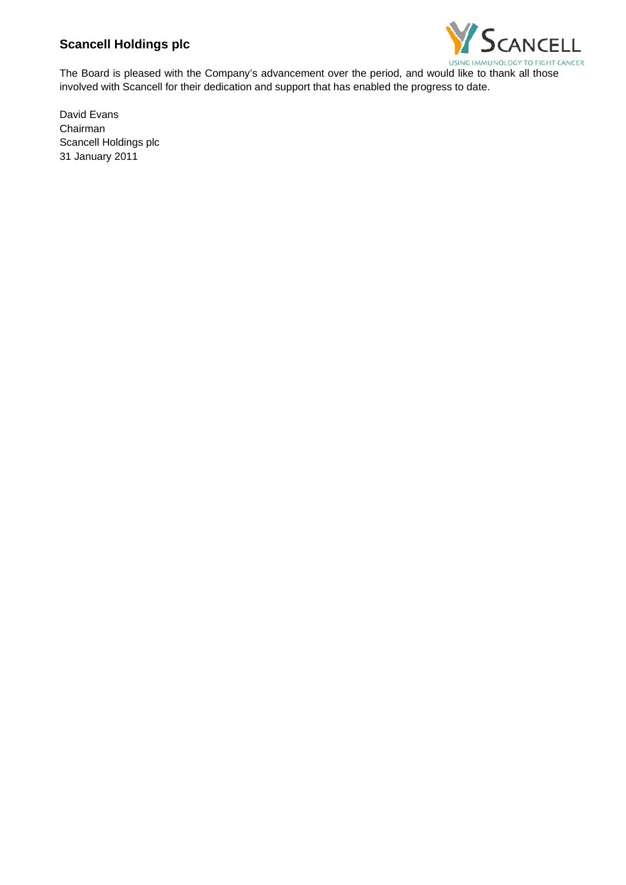## **Scancell Holdings plc**



The Board is pleased with the Company's advancement over the period, and would like to thank all those involved with Scancell for their dedication and support that has enabled the progress to date.

David Evans Chairman Scancell Holdings plc 31 January 2011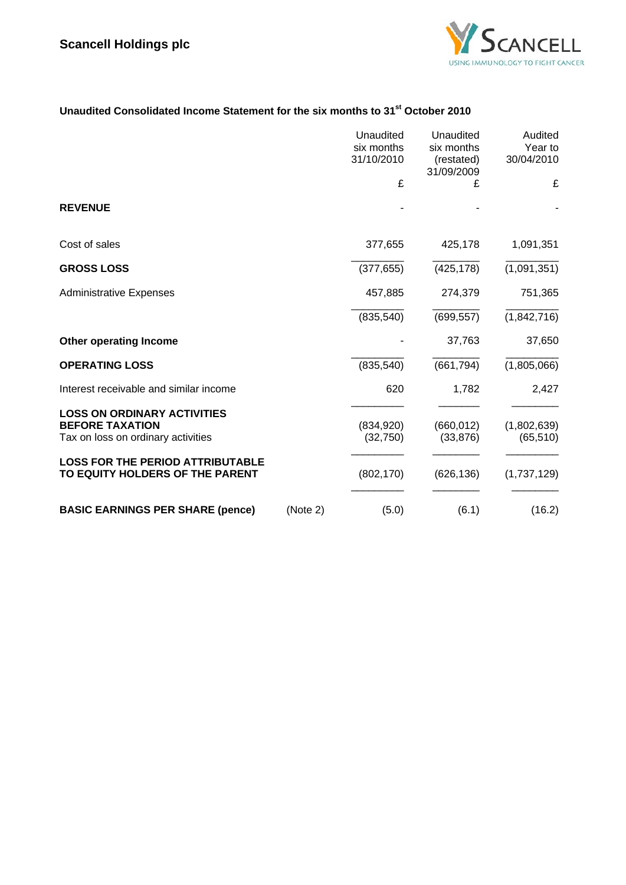

# **Unaudited Consolidated Income Statement for the six months to 31st October 2010**

|                                                                                                    |          | Unaudited<br>six months<br>31/10/2010 | Unaudited<br>six months<br>(restated)<br>31/09/2009 | Audited<br>Year to<br>30/04/2010 |
|----------------------------------------------------------------------------------------------------|----------|---------------------------------------|-----------------------------------------------------|----------------------------------|
|                                                                                                    |          | £                                     | £                                                   | £                                |
| <b>REVENUE</b>                                                                                     |          |                                       |                                                     |                                  |
| Cost of sales                                                                                      |          | 377,655                               | 425,178                                             | 1,091,351                        |
| <b>GROSS LOSS</b>                                                                                  |          | (377, 655)                            | (425, 178)                                          | (1,091,351)                      |
| <b>Administrative Expenses</b>                                                                     |          | 457,885                               | 274,379                                             | 751,365                          |
|                                                                                                    |          | (835, 540)                            | (699, 557)                                          | (1,842,716)                      |
| <b>Other operating Income</b>                                                                      |          |                                       | 37,763                                              | 37,650                           |
| <b>OPERATING LOSS</b>                                                                              |          | (835, 540)                            | (661, 794)                                          | (1,805,066)                      |
| Interest receivable and similar income                                                             |          | 620                                   | 1,782                                               | 2,427                            |
| <b>LOSS ON ORDINARY ACTIVITIES</b><br><b>BEFORE TAXATION</b><br>Tax on loss on ordinary activities |          | (834, 920)<br>(32,750)                | (660, 012)<br>(33, 876)                             | (1,802,639)<br>(65, 510)         |
| <b>LOSS FOR THE PERIOD ATTRIBUTABLE</b><br>TO EQUITY HOLDERS OF THE PARENT                         |          | (802, 170)                            | (626, 136)                                          | (1,737,129)                      |
| <b>BASIC EARNINGS PER SHARE (pence)</b>                                                            | (Note 2) | (5.0)                                 | (6.1)                                               | (16.2)                           |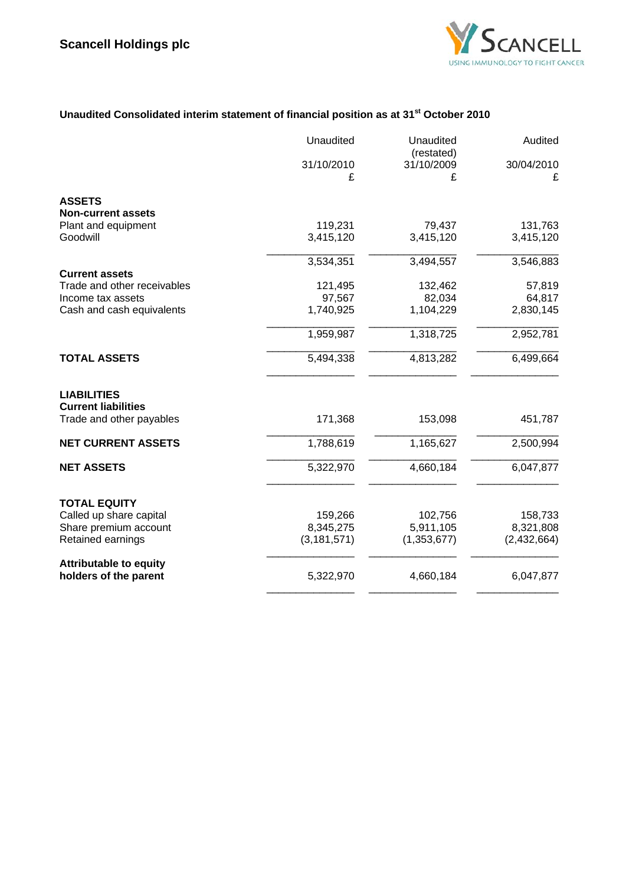

# **Unaudited Consolidated interim statement of financial position as at 31st October 2010**

|                                                                              | Unaudited            | Unaudited<br>(restated) | Audited         |
|------------------------------------------------------------------------------|----------------------|-------------------------|-----------------|
|                                                                              | 31/10/2010<br>£      | 31/10/2009<br>£         | 30/04/2010<br>£ |
| <b>ASSETS</b>                                                                |                      |                         |                 |
| <b>Non-current assets</b>                                                    |                      |                         |                 |
| Plant and equipment                                                          | 119,231              | 79,437                  | 131,763         |
| Goodwill                                                                     | 3,415,120            | 3,415,120               | 3,415,120       |
|                                                                              | 3,534,351            | 3,494,557               | 3,546,883       |
| <b>Current assets</b>                                                        |                      |                         |                 |
| Trade and other receivables                                                  | 121,495              | 132,462                 | 57,819          |
| Income tax assets                                                            | 97,567               | 82,034                  | 64,817          |
| Cash and cash equivalents                                                    | 1,740,925            | 1,104,229               | 2,830,145       |
|                                                                              | 1,959,987            | 1,318,725               | 2,952,781       |
| <b>TOTAL ASSETS</b>                                                          | 5,494,338            | 4,813,282               | 6,499,664       |
| <b>LIABILITIES</b><br><b>Current liabilities</b><br>Trade and other payables | 171,368              | 153,098                 | 451,787         |
| <b>NET CURRENT ASSETS</b>                                                    | 1,788,619            | 1,165,627               | 2,500,994       |
| <b>NET ASSETS</b>                                                            | 5,322,970            | 4,660,184               | 6,047,877       |
| <b>TOTAL EQUITY</b>                                                          |                      |                         |                 |
| Called up share capital                                                      | 159,266<br>8,345,275 | 102,756<br>5,911,105    | 158,733         |
| Share premium account                                                        |                      |                         | 8,321,808       |
| Retained earnings                                                            | (3, 181, 571)        | (1,353,677)             | (2,432,664)     |
| <b>Attributable to equity</b><br>holders of the parent                       | 5,322,970            | 4,660,184               | 6,047,877       |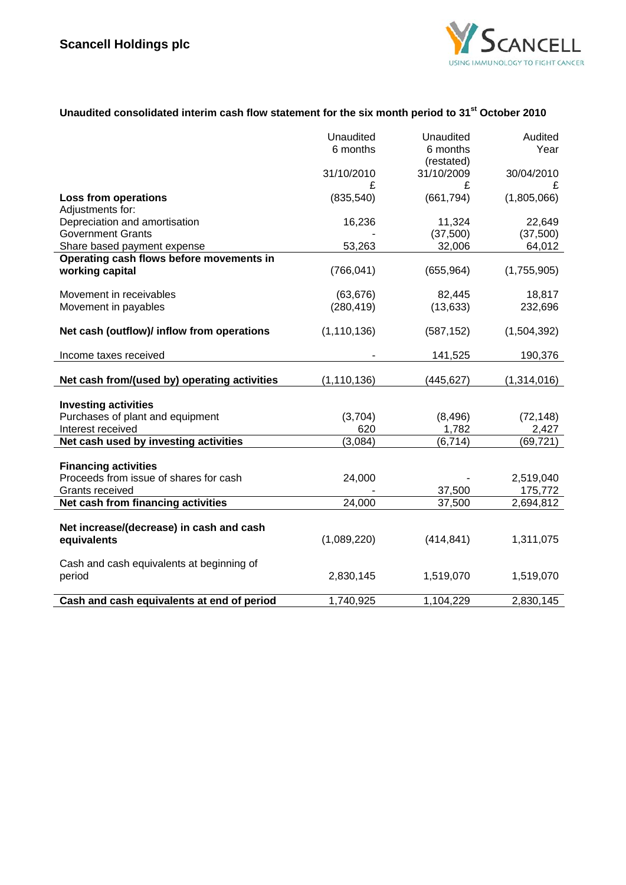

# **Unaudited consolidated interim cash flow statement for the six month period to 31st October 2010**

|                                                   | Unaudited     | Unaudited  | Audited     |
|---------------------------------------------------|---------------|------------|-------------|
|                                                   | 6 months      | 6 months   | Year        |
|                                                   |               | (restated) |             |
|                                                   | 31/10/2010    | 31/10/2009 | 30/04/2010  |
|                                                   | £             | £          | £           |
| <b>Loss from operations</b>                       | (835, 540)    | (661, 794) | (1,805,066) |
| Adjustments for:<br>Depreciation and amortisation | 16,236        | 11,324     | 22,649      |
| <b>Government Grants</b>                          |               | (37,500)   | (37,500)    |
| Share based payment expense                       | 53,263        | 32,006     | 64,012      |
| Operating cash flows before movements in          |               |            |             |
| working capital                                   | (766, 041)    | (655, 964) | (1,755,905) |
|                                                   |               |            |             |
| Movement in receivables                           | (63, 676)     | 82,445     | 18,817      |
| Movement in payables                              | (280, 419)    | (13, 633)  | 232,696     |
|                                                   |               |            |             |
| Net cash (outflow)/ inflow from operations        | (1, 110, 136) | (587, 152) | (1,504,392) |
|                                                   |               |            |             |
| Income taxes received                             |               | 141,525    | 190,376     |
|                                                   |               |            |             |
| Net cash from/(used by) operating activities      | (1, 110, 136) | (445,627)  | (1,314,016) |
| <b>Investing activities</b>                       |               |            |             |
| Purchases of plant and equipment                  | (3,704)       | (8, 496)   | (72, 148)   |
| Interest received                                 | 620           | 1,782      | 2,427       |
| Net cash used by investing activities             | (3,084)       | (6, 714)   | (69, 721)   |
|                                                   |               |            |             |
| <b>Financing activities</b>                       |               |            |             |
| Proceeds from issue of shares for cash            | 24,000        |            | 2,519,040   |
| Grants received                                   |               | 37,500     | 175,772     |
| Net cash from financing activities                | 24,000        | 37,500     | 2,694,812   |
|                                                   |               |            |             |
| Net increase/(decrease) in cash and cash          |               |            |             |
| equivalents                                       | (1,089,220)   | (414, 841) | 1,311,075   |
|                                                   |               |            |             |
| Cash and cash equivalents at beginning of         |               |            |             |
| period                                            | 2,830,145     | 1,519,070  | 1,519,070   |
| Cash and cash equivalents at end of period        | 1,740,925     | 1,104,229  | 2,830,145   |
|                                                   |               |            |             |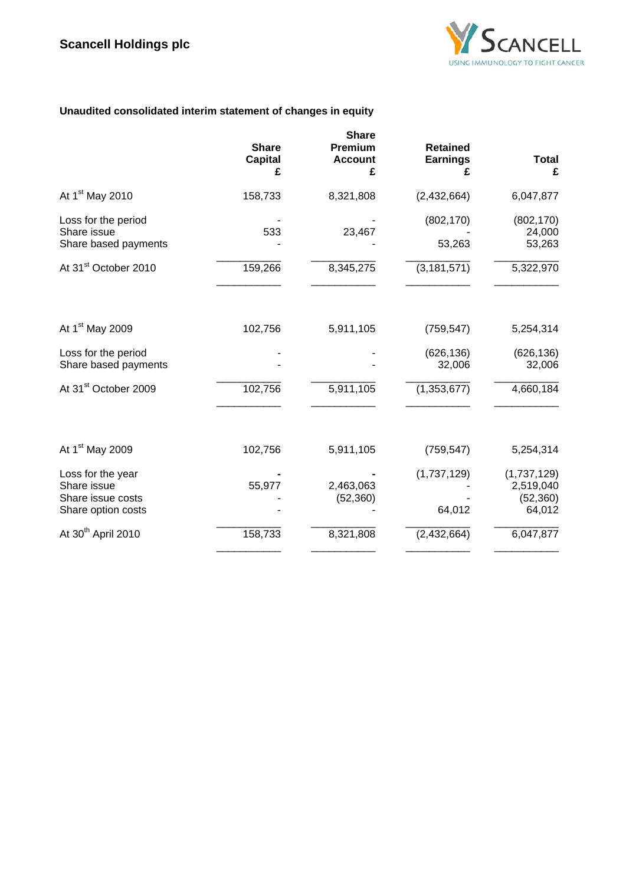

## **Unaudited consolidated interim statement of changes in equity**

|                                                                             | <b>Share</b><br><b>Capital</b><br>£ | <b>Share</b><br><b>Premium</b><br><b>Account</b><br>£ | <b>Retained</b><br><b>Earnings</b> | <b>Total</b><br>£                               |
|-----------------------------------------------------------------------------|-------------------------------------|-------------------------------------------------------|------------------------------------|-------------------------------------------------|
| At 1 <sup>st</sup> May 2010                                                 | 158,733                             | 8,321,808                                             | (2,432,664)                        | 6,047,877                                       |
| Loss for the period<br>Share issue<br>Share based payments                  | 533                                 | 23,467                                                | (802, 170)<br>53,263               | (802, 170)<br>24,000<br>53,263                  |
| At 31 <sup>st</sup> October 2010                                            | 159,266                             | 8,345,275                                             | (3, 181, 571)                      | 5,322,970                                       |
|                                                                             |                                     |                                                       |                                    |                                                 |
| At 1 <sup>st</sup> May 2009                                                 | 102,756                             | 5,911,105                                             | (759, 547)                         | 5,254,314                                       |
| Loss for the period<br>Share based payments                                 |                                     |                                                       | (626, 136)<br>32,006               | (626, 136)<br>32,006                            |
| At 31 <sup>st</sup> October 2009                                            | 102,756                             | 5,911,105                                             | (1,353,677)                        | 4,660,184                                       |
|                                                                             |                                     |                                                       |                                    |                                                 |
| At 1 <sup>st</sup> May 2009                                                 | 102,756                             | 5,911,105                                             | (759, 547)                         | 5,254,314                                       |
| Loss for the year<br>Share issue<br>Share issue costs<br>Share option costs | 55,977                              | 2,463,063<br>(52, 360)                                | (1,737,129)<br>64,012              | (1,737,129)<br>2,519,040<br>(52, 360)<br>64,012 |
| At 30 <sup>th</sup> April 2010                                              | 158,733                             | 8,321,808                                             | (2,432,664)                        | 6,047,877                                       |